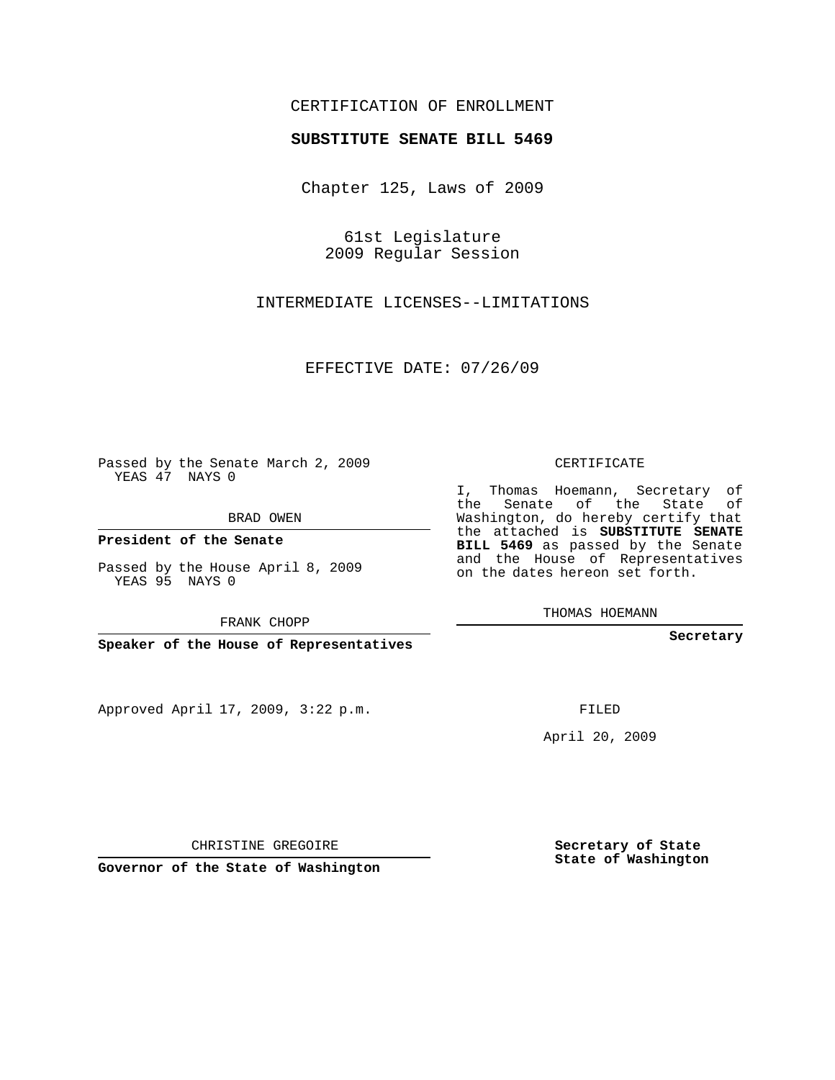## CERTIFICATION OF ENROLLMENT

## **SUBSTITUTE SENATE BILL 5469**

Chapter 125, Laws of 2009

61st Legislature 2009 Regular Session

INTERMEDIATE LICENSES--LIMITATIONS

EFFECTIVE DATE: 07/26/09

Passed by the Senate March 2, 2009 YEAS 47 NAYS 0

BRAD OWEN

**President of the Senate**

Passed by the House April 8, 2009 YEAS 95 NAYS 0

FRANK CHOPP

**Speaker of the House of Representatives**

Approved April 17, 2009, 3:22 p.m.

CERTIFICATE

I, Thomas Hoemann, Secretary of the Senate of the State of Washington, do hereby certify that the attached is **SUBSTITUTE SENATE BILL 5469** as passed by the Senate and the House of Representatives on the dates hereon set forth.

THOMAS HOEMANN

**Secretary**

FILED

April 20, 2009

**Secretary of State State of Washington**

CHRISTINE GREGOIRE

**Governor of the State of Washington**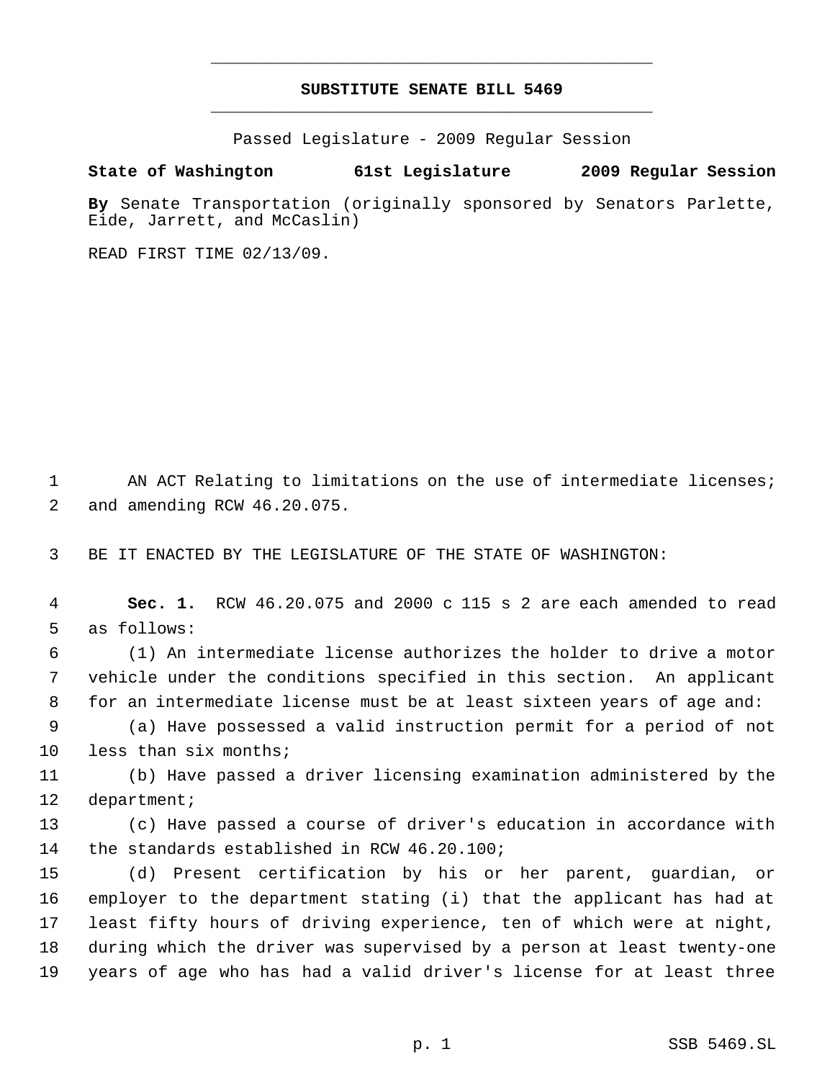## **SUBSTITUTE SENATE BILL 5469** \_\_\_\_\_\_\_\_\_\_\_\_\_\_\_\_\_\_\_\_\_\_\_\_\_\_\_\_\_\_\_\_\_\_\_\_\_\_\_\_\_\_\_\_\_

\_\_\_\_\_\_\_\_\_\_\_\_\_\_\_\_\_\_\_\_\_\_\_\_\_\_\_\_\_\_\_\_\_\_\_\_\_\_\_\_\_\_\_\_\_

Passed Legislature - 2009 Regular Session

## **State of Washington 61st Legislature 2009 Regular Session**

**By** Senate Transportation (originally sponsored by Senators Parlette, Eide, Jarrett, and McCaslin)

READ FIRST TIME 02/13/09.

1 AN ACT Relating to limitations on the use of intermediate licenses; and amending RCW 46.20.075.

BE IT ENACTED BY THE LEGISLATURE OF THE STATE OF WASHINGTON:

 **Sec. 1.** RCW 46.20.075 and 2000 c 115 s 2 are each amended to read as follows:

 (1) An intermediate license authorizes the holder to drive a motor vehicle under the conditions specified in this section. An applicant for an intermediate license must be at least sixteen years of age and:

 (a) Have possessed a valid instruction permit for a period of not 10 less than six months;

 (b) Have passed a driver licensing examination administered by the department;

 (c) Have passed a course of driver's education in accordance with the standards established in RCW 46.20.100;

 (d) Present certification by his or her parent, guardian, or employer to the department stating (i) that the applicant has had at least fifty hours of driving experience, ten of which were at night, during which the driver was supervised by a person at least twenty-one years of age who has had a valid driver's license for at least three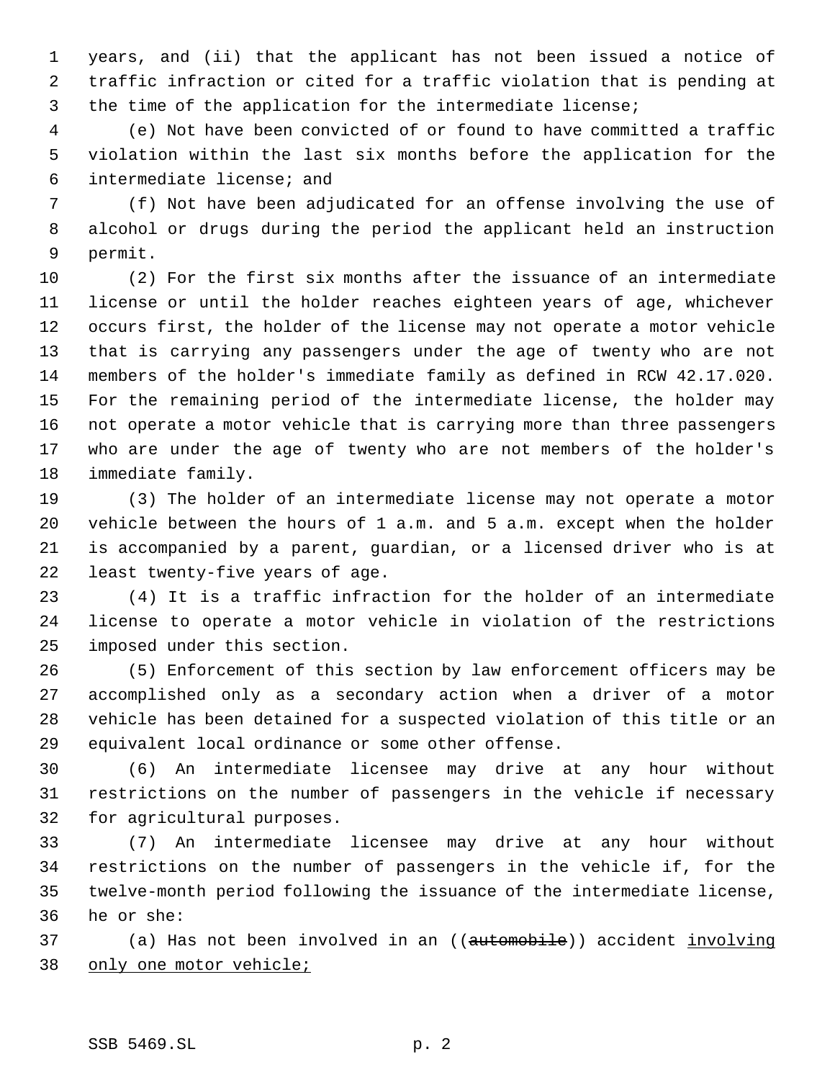years, and (ii) that the applicant has not been issued a notice of traffic infraction or cited for a traffic violation that is pending at the time of the application for the intermediate license;

 (e) Not have been convicted of or found to have committed a traffic violation within the last six months before the application for the intermediate license; and

 (f) Not have been adjudicated for an offense involving the use of alcohol or drugs during the period the applicant held an instruction permit.

 (2) For the first six months after the issuance of an intermediate license or until the holder reaches eighteen years of age, whichever occurs first, the holder of the license may not operate a motor vehicle that is carrying any passengers under the age of twenty who are not members of the holder's immediate family as defined in RCW 42.17.020. For the remaining period of the intermediate license, the holder may not operate a motor vehicle that is carrying more than three passengers who are under the age of twenty who are not members of the holder's immediate family.

 (3) The holder of an intermediate license may not operate a motor vehicle between the hours of 1 a.m. and 5 a.m. except when the holder is accompanied by a parent, guardian, or a licensed driver who is at least twenty-five years of age.

 (4) It is a traffic infraction for the holder of an intermediate license to operate a motor vehicle in violation of the restrictions imposed under this section.

 (5) Enforcement of this section by law enforcement officers may be accomplished only as a secondary action when a driver of a motor vehicle has been detained for a suspected violation of this title or an equivalent local ordinance or some other offense.

 (6) An intermediate licensee may drive at any hour without restrictions on the number of passengers in the vehicle if necessary for agricultural purposes.

 (7) An intermediate licensee may drive at any hour without restrictions on the number of passengers in the vehicle if, for the twelve-month period following the issuance of the intermediate license, he or she:

37 (a) Has not been involved in an ((automobile)) accident involving 38 only one motor vehicle;